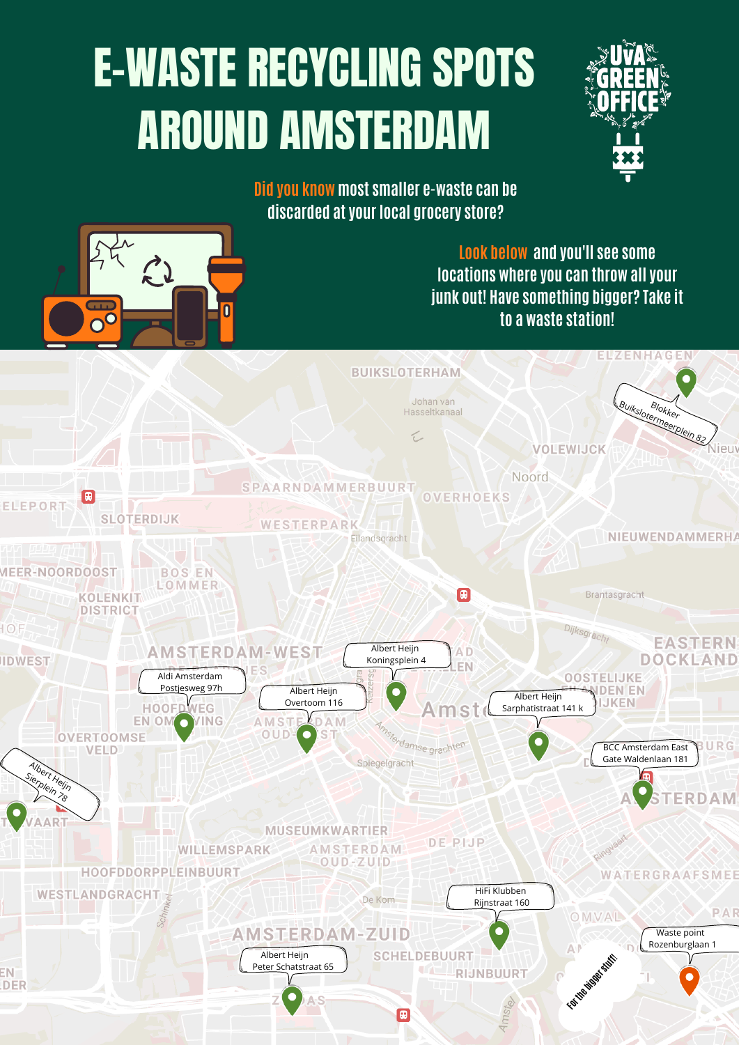## E-WASTE RECYCLING SPOTS AROUND AMSTERDAM





**Did you know most smaller e-waste can be discarded at your local grocery store?**



**Look below and you'll see some locations where you can throw all your junk out! Have something bigger? Take it to a waste station!**